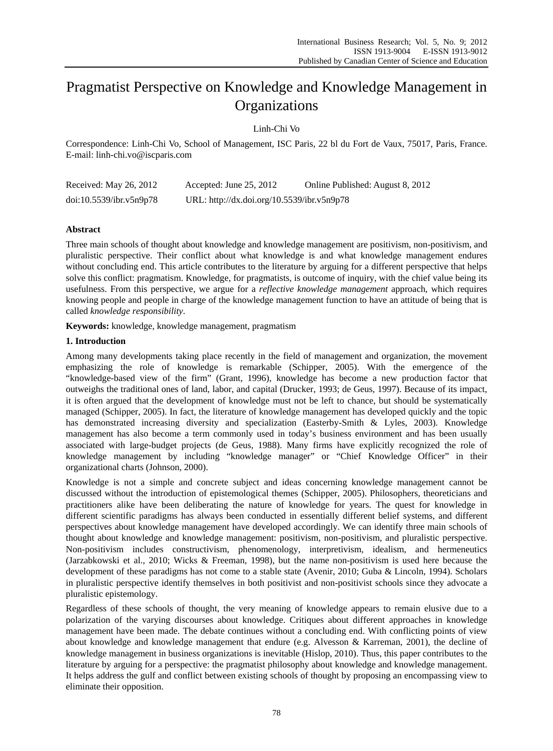# Pragmatist Perspective on Knowledge and Knowledge Management in **Organizations**

Linh-Chi Vo

Correspondence: Linh-Chi Vo, School of Management, ISC Paris, 22 bl du Fort de Vaux, 75017, Paris, France. E-mail: linh-chi.vo@iscparis.com

| Received: May 26, 2012  | Accepted: June 25, 2012                    | Online Published: August 8, 2012 |
|-------------------------|--------------------------------------------|----------------------------------|
| doi:10.5539/ibr.v5n9p78 | URL: http://dx.doi.org/10.5539/ibr.v5n9p78 |                                  |

# **Abstract**

Three main schools of thought about knowledge and knowledge management are positivism, non-positivism, and pluralistic perspective. Their conflict about what knowledge is and what knowledge management endures without concluding end. This article contributes to the literature by arguing for a different perspective that helps solve this conflict: pragmatism. Knowledge, for pragmatists, is outcome of inquiry, with the chief value being its usefulness. From this perspective, we argue for a *reflective knowledge management* approach*,* which requires knowing people and people in charge of the knowledge management function to have an attitude of being that is called *knowledge responsibility*.

**Keywords:** knowledge, knowledge management, pragmatism

# **1. Introduction**

Among many developments taking place recently in the field of management and organization, the movement emphasizing the role of knowledge is remarkable (Schipper, 2005). With the emergence of the "knowledge-based view of the firm" (Grant, 1996), knowledge has become a new production factor that outweighs the traditional ones of land, labor, and capital (Drucker, 1993; de Geus, 1997). Because of its impact, it is often argued that the development of knowledge must not be left to chance, but should be systematically managed (Schipper, 2005). In fact, the literature of knowledge management has developed quickly and the topic has demonstrated increasing diversity and specialization (Easterby-Smith & Lyles, 2003). Knowledge management has also become a term commonly used in today's business environment and has been usually associated with large-budget projects (de Geus, 1988). Many firms have explicitly recognized the role of knowledge management by including "knowledge manager" or "Chief Knowledge Officer" in their organizational charts (Johnson, 2000).

Knowledge is not a simple and concrete subject and ideas concerning knowledge management cannot be discussed without the introduction of epistemological themes (Schipper, 2005). Philosophers, theoreticians and practitioners alike have been deliberating the nature of knowledge for years. The quest for knowledge in different scientific paradigms has always been conducted in essentially different belief systems, and different perspectives about knowledge management have developed accordingly. We can identify three main schools of thought about knowledge and knowledge management: positivism, non-positivism, and pluralistic perspective. Non-positivism includes constructivism, phenomenology, interpretivism, idealism, and hermeneutics (Jarzabkowski et al., 2010; Wicks & Freeman, 1998), but the name non-positivism is used here because the development of these paradigms has not come to a stable state (Avenir, 2010; Guba & Lincoln, 1994). Scholars in pluralistic perspective identify themselves in both positivist and non-positivist schools since they advocate a pluralistic epistemology.

Regardless of these schools of thought, the very meaning of knowledge appears to remain elusive due to a polarization of the varying discourses about knowledge. Critiques about different approaches in knowledge management have been made. The debate continues without a concluding end. With conflicting points of view about knowledge and knowledge management that endure (e.g. Alvesson & Karreman, 2001), the decline of knowledge management in business organizations is inevitable (Hislop, 2010). Thus, this paper contributes to the literature by arguing for a perspective: the pragmatist philosophy about knowledge and knowledge management. It helps address the gulf and conflict between existing schools of thought by proposing an encompassing view to eliminate their opposition.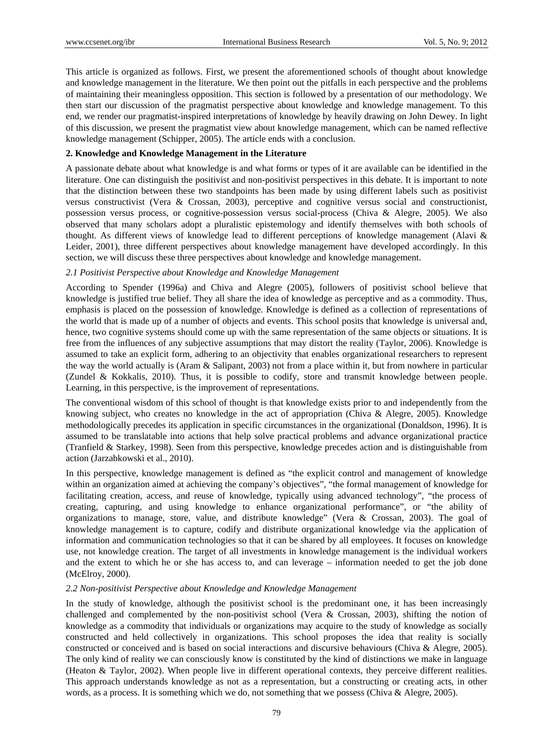This article is organized as follows. First, we present the aforementioned schools of thought about knowledge and knowledge management in the literature. We then point out the pitfalls in each perspective and the problems of maintaining their meaningless opposition. This section is followed by a presentation of our methodology. We then start our discussion of the pragmatist perspective about knowledge and knowledge management. To this end, we render our pragmatist-inspired interpretations of knowledge by heavily drawing on John Dewey. In light of this discussion, we present the pragmatist view about knowledge management, which can be named reflective knowledge management (Schipper, 2005). The article ends with a conclusion.

#### **2. Knowledge and Knowledge Management in the Literature**

A passionate debate about what knowledge is and what forms or types of it are available can be identified in the literature. One can distinguish the positivist and non-positivist perspectives in this debate. It is important to note that the distinction between these two standpoints has been made by using different labels such as positivist versus constructivist (Vera & Crossan, 2003), perceptive and cognitive versus social and constructionist, possession versus process, or cognitive-possession versus social-process (Chiva & Alegre, 2005). We also observed that many scholars adopt a pluralistic epistemology and identify themselves with both schools of thought. As different views of knowledge lead to different perceptions of knowledge management (Alavi & Leider, 2001), three different perspectives about knowledge management have developed accordingly. In this section, we will discuss these three perspectives about knowledge and knowledge management.

#### *2.1 Positivist Perspective about Knowledge and Knowledge Management*

According to Spender (1996a) and Chiva and Alegre (2005), followers of positivist school believe that knowledge is justified true belief. They all share the idea of knowledge as perceptive and as a commodity. Thus, emphasis is placed on the possession of knowledge. Knowledge is defined as a collection of representations of the world that is made up of a number of objects and events. This school posits that knowledge is universal and, hence, two cognitive systems should come up with the same representation of the same objects or situations. It is free from the influences of any subjective assumptions that may distort the reality (Taylor, 2006). Knowledge is assumed to take an explicit form, adhering to an objectivity that enables organizational researchers to represent the way the world actually is (Aram & Salipant, 2003) not from a place within it, but from nowhere in particular (Zundel & Kokkalis, 2010). Thus, it is possible to codify, store and transmit knowledge between people. Learning, in this perspective, is the improvement of representations.

The conventional wisdom of this school of thought is that knowledge exists prior to and independently from the knowing subject, who creates no knowledge in the act of appropriation (Chiva & Alegre, 2005). Knowledge methodologically precedes its application in specific circumstances in the organizational (Donaldson, 1996). It is assumed to be translatable into actions that help solve practical problems and advance organizational practice (Tranfield & Starkey, 1998). Seen from this perspective, knowledge precedes action and is distinguishable from action (Jarzabkowski et al., 2010).

In this perspective, knowledge management is defined as "the explicit control and management of knowledge within an organization aimed at achieving the company's objectives", "the formal management of knowledge for facilitating creation, access, and reuse of knowledge, typically using advanced technology", "the process of creating, capturing, and using knowledge to enhance organizational performance", or "the ability of organizations to manage, store, value, and distribute knowledge" (Vera & Crossan, 2003). The goal of knowledge management is to capture, codify and distribute organizational knowledge via the application of information and communication technologies so that it can be shared by all employees. It focuses on knowledge use, not knowledge creation. The target of all investments in knowledge management is the individual workers and the extent to which he or she has access to, and can leverage – information needed to get the job done (McElroy, 2000).

#### *2.2 Non-positivist Perspective about Knowledge and Knowledge Management*

In the study of knowledge, although the positivist school is the predominant one, it has been increasingly challenged and complemented by the non-positivist school (Vera & Crossan, 2003), shifting the notion of knowledge as a commodity that individuals or organizations may acquire to the study of knowledge as socially constructed and held collectively in organizations. This school proposes the idea that reality is socially constructed or conceived and is based on social interactions and discursive behaviours (Chiva & Alegre, 2005). The only kind of reality we can consciously know is constituted by the kind of distinctions we make in language (Heaton & Taylor, 2002). When people live in different operational contexts, they perceive different realities. This approach understands knowledge as not as a representation, but a constructing or creating acts, in other words, as a process. It is something which we do, not something that we possess (Chiva & Alegre, 2005).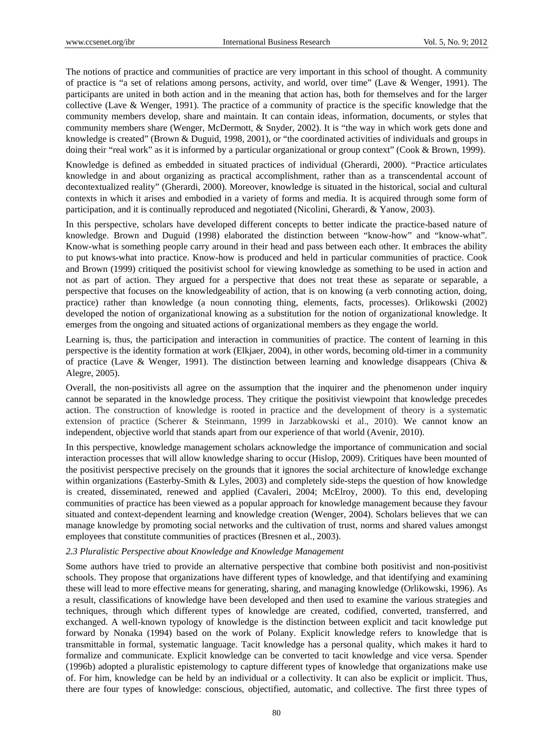The notions of practice and communities of practice are very important in this school of thought. A community of practice is "a set of relations among persons, activity, and world, over time" (Lave & Wenger, 1991). The participants are united in both action and in the meaning that action has, both for themselves and for the larger collective (Lave & Wenger, 1991). The practice of a community of practice is the specific knowledge that the community members develop, share and maintain. It can contain ideas, information, documents, or styles that community members share (Wenger, McDermott, & Snyder, 2002). It is "the way in which work gets done and knowledge is created" (Brown & Duguid, 1998, 2001), or "the coordinated activities of individuals and groups in doing their "real work" as it is informed by a particular organizational or group context" (Cook & Brown, 1999).

Knowledge is defined as embedded in situated practices of individual (Gherardi, 2000). "Practice articulates knowledge in and about organizing as practical accomplishment, rather than as a transcendental account of decontextualized reality" (Gherardi, 2000). Moreover, knowledge is situated in the historical, social and cultural contexts in which it arises and embodied in a variety of forms and media. It is acquired through some form of participation, and it is continually reproduced and negotiated (Nicolini, Gherardi, & Yanow, 2003).

In this perspective, scholars have developed different concepts to better indicate the practice-based nature of knowledge. Brown and Duguid (1998) elaborated the distinction between "know-how" and "know-what". Know-what is something people carry around in their head and pass between each other. It embraces the ability to put knows-what into practice. Know-how is produced and held in particular communities of practice. Cook and Brown (1999) critiqued the positivist school for viewing knowledge as something to be used in action and not as part of action. They argued for a perspective that does not treat these as separate or separable, a perspective that focuses on the knowledgeability of action, that is on knowing (a verb connoting action, doing, practice) rather than knowledge (a noun connoting thing, elements, facts, processes). Orlikowski (2002) developed the notion of organizational knowing as a substitution for the notion of organizational knowledge. It emerges from the ongoing and situated actions of organizational members as they engage the world.

Learning is, thus, the participation and interaction in communities of practice. The content of learning in this perspective is the identity formation at work (Elkjaer, 2004), in other words, becoming old-timer in a community of practice (Lave & Wenger, 1991). The distinction between learning and knowledge disappears (Chiva & Alegre, 2005).

Overall, the non-positivists all agree on the assumption that the inquirer and the phenomenon under inquiry cannot be separated in the knowledge process. They critique the positivist viewpoint that knowledge precedes action. The construction of knowledge is rooted in practice and the development of theory is a systematic extension of practice (Scherer & Steinmann, 1999 in Jarzabkowski et al., 2010). We cannot know an independent, objective world that stands apart from our experience of that world (Avenir, 2010).

In this perspective, knowledge management scholars acknowledge the importance of communication and social interaction processes that will allow knowledge sharing to occur (Hislop, 2009). Critiques have been mounted of the positivist perspective precisely on the grounds that it ignores the social architecture of knowledge exchange within organizations (Easterby-Smith & Lyles, 2003) and completely side-steps the question of how knowledge is created, disseminated, renewed and applied (Cavaleri, 2004; McElroy, 2000). To this end, developing communities of practice has been viewed as a popular approach for knowledge management because they favour situated and context-dependent learning and knowledge creation (Wenger, 2004). Scholars believes that we can manage knowledge by promoting social networks and the cultivation of trust, norms and shared values amongst employees that constitute communities of practices (Bresnen et al., 2003).

#### *2.3 Pluralistic Perspective about Knowledge and Knowledge Management*

Some authors have tried to provide an alternative perspective that combine both positivist and non-positivist schools. They propose that organizations have different types of knowledge, and that identifying and examining these will lead to more effective means for generating, sharing, and managing knowledge (Orlikowski, 1996). As a result, classifications of knowledge have been developed and then used to examine the various strategies and techniques, through which different types of knowledge are created, codified, converted, transferred, and exchanged. A well-known typology of knowledge is the distinction between explicit and tacit knowledge put forward by Nonaka (1994) based on the work of Polany. Explicit knowledge refers to knowledge that is transmittable in formal, systematic language. Tacit knowledge has a personal quality, which makes it hard to formalize and communicate. Explicit knowledge can be converted to tacit knowledge and vice versa. Spender (1996b) adopted a pluralistic epistemology to capture different types of knowledge that organizations make use of. For him, knowledge can be held by an individual or a collectivity. It can also be explicit or implicit. Thus, there are four types of knowledge: conscious, objectified, automatic, and collective. The first three types of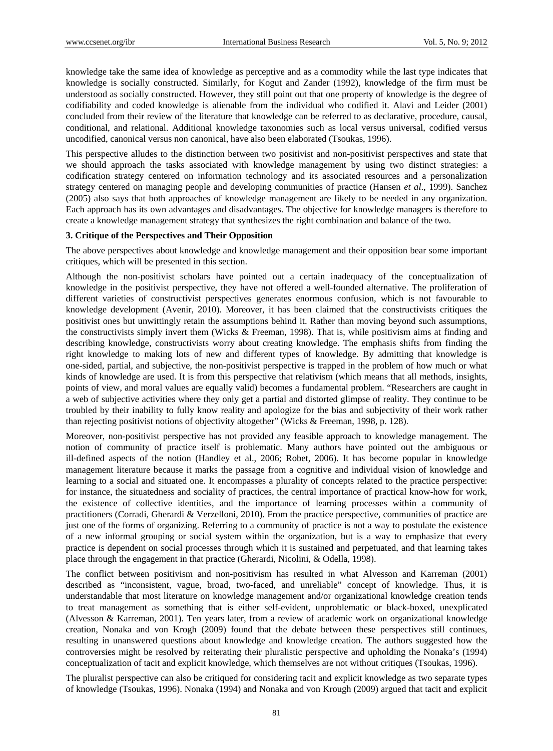knowledge take the same idea of knowledge as perceptive and as a commodity while the last type indicates that knowledge is socially constructed. Similarly, for Kogut and Zander (1992), knowledge of the firm must be understood as socially constructed. However, they still point out that one property of knowledge is the degree of codifiability and coded knowledge is alienable from the individual who codified it. Alavi and Leider (2001) concluded from their review of the literature that knowledge can be referred to as declarative, procedure, causal, conditional, and relational. Additional knowledge taxonomies such as local versus universal, codified versus uncodified, canonical versus non canonical, have also been elaborated (Tsoukas, 1996).

This perspective alludes to the distinction between two positivist and non-positivist perspectives and state that we should approach the tasks associated with knowledge management by using two distinct strategies: a codification strategy centered on information technology and its associated resources and a personalization strategy centered on managing people and developing communities of practice (Hansen *et al*., 1999). Sanchez (2005) also says that both approaches of knowledge management are likely to be needed in any organization. Each approach has its own advantages and disadvantages. The objective for knowledge managers is therefore to create a knowledge management strategy that synthesizes the right combination and balance of the two.

#### **3. Critique of the Perspectives and Their Opposition**

The above perspectives about knowledge and knowledge management and their opposition bear some important critiques, which will be presented in this section.

Although the non-positivist scholars have pointed out a certain inadequacy of the conceptualization of knowledge in the positivist perspective, they have not offered a well-founded alternative. The proliferation of different varieties of constructivist perspectives generates enormous confusion, which is not favourable to knowledge development (Avenir, 2010). Moreover, it has been claimed that the constructivists critiques the positivist ones but unwittingly retain the assumptions behind it. Rather than moving beyond such assumptions, the constructivists simply invert them (Wicks & Freeman, 1998). That is, while positivism aims at finding and describing knowledge, constructivists worry about creating knowledge. The emphasis shifts from finding the right knowledge to making lots of new and different types of knowledge. By admitting that knowledge is one-sided, partial, and subjective, the non-positivist perspective is trapped in the problem of how much or what kinds of knowledge are used. It is from this perspective that relativism (which means that all methods, insights, points of view, and moral values are equally valid) becomes a fundamental problem. "Researchers are caught in a web of subjective activities where they only get a partial and distorted glimpse of reality. They continue to be troubled by their inability to fully know reality and apologize for the bias and subjectivity of their work rather than rejecting positivist notions of objectivity altogether" (Wicks & Freeman, 1998, p. 128).

Moreover, non-positivist perspective has not provided any feasible approach to knowledge management. The notion of community of practice itself is problematic. Many authors have pointed out the ambiguous or ill-defined aspects of the notion (Handley et al., 2006; Robet, 2006). It has become popular in knowledge management literature because it marks the passage from a cognitive and individual vision of knowledge and learning to a social and situated one. It encompasses a plurality of concepts related to the practice perspective: for instance, the situatedness and sociality of practices, the central importance of practical know-how for work, the existence of collective identities, and the importance of learning processes within a community of practitioners (Corradi, Gherardi & Verzelloni, 2010). From the practice perspective, communities of practice are just one of the forms of organizing. Referring to a community of practice is not a way to postulate the existence of a new informal grouping or social system within the organization, but is a way to emphasize that every practice is dependent on social processes through which it is sustained and perpetuated, and that learning takes place through the engagement in that practice (Gherardi, Nicolini, & Odella, 1998).

The conflict between positivism and non-positivism has resulted in what Alvesson and Karreman (2001) described as "inconsistent, vague, broad, two-faced, and unreliable" concept of knowledge. Thus, it is understandable that most literature on knowledge management and/or organizational knowledge creation tends to treat management as something that is either self-evident, unproblematic or black-boxed, unexplicated (Alvesson & Karreman, 2001). Ten years later, from a review of academic work on organizational knowledge creation, Nonaka and von Krogh (2009) found that the debate between these perspectives still continues, resulting in unanswered questions about knowledge and knowledge creation. The authors suggested how the controversies might be resolved by reiterating their pluralistic perspective and upholding the Nonaka's (1994) conceptualization of tacit and explicit knowledge, which themselves are not without critiques (Tsoukas, 1996).

The pluralist perspective can also be critiqued for considering tacit and explicit knowledge as two separate types of knowledge (Tsoukas, 1996). Nonaka (1994) and Nonaka and von Krough (2009) argued that tacit and explicit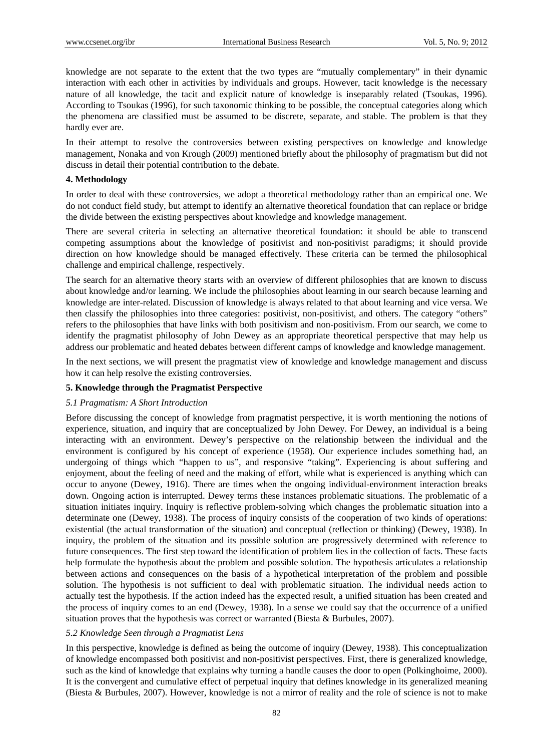knowledge are not separate to the extent that the two types are "mutually complementary" in their dynamic interaction with each other in activities by individuals and groups. However, tacit knowledge is the necessary nature of all knowledge, the tacit and explicit nature of knowledge is inseparably related (Tsoukas, 1996). According to Tsoukas (1996), for such taxonomic thinking to be possible, the conceptual categories along which the phenomena are classified must be assumed to be discrete, separate, and stable. The problem is that they hardly ever are.

In their attempt to resolve the controversies between existing perspectives on knowledge and knowledge management, Nonaka and von Krough (2009) mentioned briefly about the philosophy of pragmatism but did not discuss in detail their potential contribution to the debate.

#### **4. Methodology**

In order to deal with these controversies, we adopt a theoretical methodology rather than an empirical one. We do not conduct field study, but attempt to identify an alternative theoretical foundation that can replace or bridge the divide between the existing perspectives about knowledge and knowledge management.

There are several criteria in selecting an alternative theoretical foundation: it should be able to transcend competing assumptions about the knowledge of positivist and non-positivist paradigms; it should provide direction on how knowledge should be managed effectively. These criteria can be termed the philosophical challenge and empirical challenge, respectively.

The search for an alternative theory starts with an overview of different philosophies that are known to discuss about knowledge and/or learning. We include the philosophies about learning in our search because learning and knowledge are inter-related. Discussion of knowledge is always related to that about learning and vice versa. We then classify the philosophies into three categories: positivist, non-positivist, and others. The category "others" refers to the philosophies that have links with both positivism and non-positivism. From our search, we come to identify the pragmatist philosophy of John Dewey as an appropriate theoretical perspective that may help us address our problematic and heated debates between different camps of knowledge and knowledge management.

In the next sections, we will present the pragmatist view of knowledge and knowledge management and discuss how it can help resolve the existing controversies.

#### **5. Knowledge through the Pragmatist Perspective**

#### *5.1 Pragmatism: A Short Introduction*

Before discussing the concept of knowledge from pragmatist perspective, it is worth mentioning the notions of experience, situation, and inquiry that are conceptualized by John Dewey. For Dewey, an individual is a being interacting with an environment. Dewey's perspective on the relationship between the individual and the environment is configured by his concept of experience (1958). Our experience includes something had, an undergoing of things which "happen to us", and responsive "taking". Experiencing is about suffering and enjoyment, about the feeling of need and the making of effort, while what is experienced is anything which can occur to anyone (Dewey, 1916). There are times when the ongoing individual-environment interaction breaks down. Ongoing action is interrupted. Dewey terms these instances problematic situations. The problematic of a situation initiates inquiry. Inquiry is reflective problem-solving which changes the problematic situation into a determinate one (Dewey, 1938). The process of inquiry consists of the cooperation of two kinds of operations: existential (the actual transformation of the situation) and conceptual (reflection or thinking) (Dewey, 1938). In inquiry, the problem of the situation and its possible solution are progressively determined with reference to future consequences. The first step toward the identification of problem lies in the collection of facts. These facts help formulate the hypothesis about the problem and possible solution. The hypothesis articulates a relationship between actions and consequences on the basis of a hypothetical interpretation of the problem and possible solution. The hypothesis is not sufficient to deal with problematic situation. The individual needs action to actually test the hypothesis. If the action indeed has the expected result, a unified situation has been created and the process of inquiry comes to an end (Dewey, 1938). In a sense we could say that the occurrence of a unified situation proves that the hypothesis was correct or warranted (Biesta  $\&$  Burbules, 2007).

#### *5.2 Knowledge Seen through a Pragmatist Lens*

In this perspective, knowledge is defined as being the outcome of inquiry (Dewey, 1938). This conceptualization of knowledge encompassed both positivist and non-positivist perspectives. First, there is generalized knowledge, such as the kind of knowledge that explains why turning a handle causes the door to open (Polkinghoime, 2000). It is the convergent and cumulative effect of perpetual inquiry that defines knowledge in its generalized meaning (Biesta & Burbules, 2007). However, knowledge is not a mirror of reality and the role of science is not to make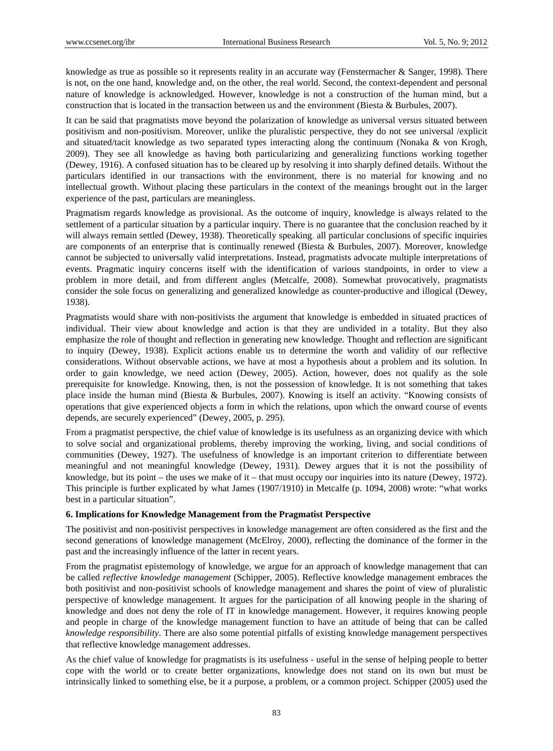knowledge as true as possible so it represents reality in an accurate way (Fenstermacher & Sanger, 1998). There is not, on the one hand, knowledge and, on the other, the real world. Second, the context-dependent and personal nature of knowledge is acknowledged. However, knowledge is not a construction of the human mind, but a construction that is located in the transaction between us and the environment (Biesta & Burbules, 2007).

It can be said that pragmatists move beyond the polarization of knowledge as universal versus situated between positivism and non-positivism. Moreover, unlike the pluralistic perspective, they do not see universal /explicit and situated/tacit knowledge as two separated types interacting along the continuum (Nonaka & von Krogh, 2009). They see all knowledge as having both particularizing and generalizing functions working together (Dewey, 1916). A confused situation has to be cleared up by resolving it into sharply defined details. Without the particulars identified in our transactions with the environment, there is no material for knowing and no intellectual growth. Without placing these particulars in the context of the meanings brought out in the larger experience of the past, particulars are meaningless.

Pragmatism regards knowledge as provisional. As the outcome of inquiry, knowledge is always related to the settlement of a particular situation by a particular inquiry. There is no guarantee that the conclusion reached by it will always remain settled (Dewey, 1938). Theoretically speaking, all particular conclusions of specific inquiries are components of an enterprise that is continually renewed (Biesta & Burbules, 2007). Moreover, knowledge cannot be subjected to universally valid interpretations. Instead, pragmatists advocate multiple interpretations of events. Pragmatic inquiry concerns itself with the identification of various standpoints, in order to view a problem in more detail, and from different angles (Metcalfe, 2008). Somewhat provocatively, pragmatists consider the sole focus on generalizing and generalized knowledge as counter-productive and illogical (Dewey, 1938).

Pragmatists would share with non-positivists the argument that knowledge is embedded in situated practices of individual. Their view about knowledge and action is that they are undivided in a totality. But they also emphasize the role of thought and reflection in generating new knowledge. Thought and reflection are significant to inquiry (Dewey, 1938). Explicit actions enable us to determine the worth and validity of our reflective considerations. Without observable actions, we have at most a hypothesis about a problem and its solution. In order to gain knowledge, we need action (Dewey, 2005). Action, however, does not qualify as the sole prerequisite for knowledge. Knowing, then, is not the possession of knowledge. It is not something that takes place inside the human mind (Biesta & Burbules, 2007). Knowing is itself an activity. "Knowing consists of operations that give experienced objects a form in which the relations, upon which the onward course of events depends, are securely experienced" (Dewey, 2005, p. 295).

From a pragmatist perspective, the chief value of knowledge is its usefulness as an organizing device with which to solve social and organizational problems, thereby improving the working, living, and social conditions of communities (Dewey, 1927). The usefulness of knowledge is an important criterion to differentiate between meaningful and not meaningful knowledge (Dewey, 1931). Dewey argues that it is not the possibility of knowledge, but its point – the uses we make of it – that must occupy our inquiries into its nature (Dewey, 1972). This principle is further explicated by what James (1907/1910) in Metcalfe (p. 1094, 2008) wrote: "what works best in a particular situation".

#### **6. Implications for Knowledge Management from the Pragmatist Perspective**

The positivist and non-positivist perspectives in knowledge management are often considered as the first and the second generations of knowledge management (McElroy, 2000), reflecting the dominance of the former in the past and the increasingly influence of the latter in recent years.

From the pragmatist epistemology of knowledge, we argue for an approach of knowledge management that can be called *reflective knowledge management* (Schipper, 2005). Reflective knowledge management embraces the both positivist and non-positivist schools of knowledge management and shares the point of view of pluralistic perspective of knowledge management. It argues for the participation of all knowing people in the sharing of knowledge and does not deny the role of IT in knowledge management. However, it requires knowing people and people in charge of the knowledge management function to have an attitude of being that can be called *knowledge responsibility*. There are also some potential pitfalls of existing knowledge management perspectives that reflective knowledge management addresses.

As the chief value of knowledge for pragmatists is its usefulness - useful in the sense of helping people to better cope with the world or to create better organizations, knowledge does not stand on its own but must be intrinsically linked to something else, be it a purpose, a problem, or a common project. Schipper (2005) used the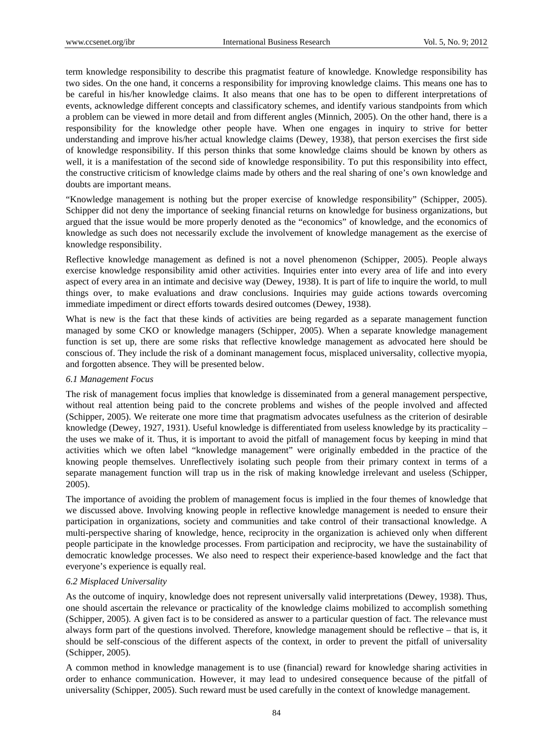term knowledge responsibility to describe this pragmatist feature of knowledge. Knowledge responsibility has two sides. On the one hand, it concerns a responsibility for improving knowledge claims. This means one has to be careful in his/her knowledge claims. It also means that one has to be open to different interpretations of events, acknowledge different concepts and classificatory schemes, and identify various standpoints from which a problem can be viewed in more detail and from different angles (Minnich, 2005). On the other hand, there is a responsibility for the knowledge other people have. When one engages in inquiry to strive for better understanding and improve his/her actual knowledge claims (Dewey, 1938), that person exercises the first side of knowledge responsibility. If this person thinks that some knowledge claims should be known by others as well, it is a manifestation of the second side of knowledge responsibility. To put this responsibility into effect, the constructive criticism of knowledge claims made by others and the real sharing of one's own knowledge and doubts are important means.

"Knowledge management is nothing but the proper exercise of knowledge responsibility" (Schipper, 2005). Schipper did not deny the importance of seeking financial returns on knowledge for business organizations, but argued that the issue would be more properly denoted as the "economics" of knowledge, and the economics of knowledge as such does not necessarily exclude the involvement of knowledge management as the exercise of knowledge responsibility.

Reflective knowledge management as defined is not a novel phenomenon (Schipper, 2005). People always exercise knowledge responsibility amid other activities. Inquiries enter into every area of life and into every aspect of every area in an intimate and decisive way (Dewey, 1938). It is part of life to inquire the world, to mull things over, to make evaluations and draw conclusions. Inquiries may guide actions towards overcoming immediate impediment or direct efforts towards desired outcomes (Dewey, 1938).

What is new is the fact that these kinds of activities are being regarded as a separate management function managed by some CKO or knowledge managers (Schipper, 2005). When a separate knowledge management function is set up, there are some risks that reflective knowledge management as advocated here should be conscious of. They include the risk of a dominant management focus, misplaced universality, collective myopia, and forgotten absence. They will be presented below.

## *6.1 Management Focus*

The risk of management focus implies that knowledge is disseminated from a general management perspective, without real attention being paid to the concrete problems and wishes of the people involved and affected (Schipper, 2005). We reiterate one more time that pragmatism advocates usefulness as the criterion of desirable knowledge (Dewey, 1927, 1931). Useful knowledge is differentiated from useless knowledge by its practicality – the uses we make of it. Thus, it is important to avoid the pitfall of management focus by keeping in mind that activities which we often label "knowledge management" were originally embedded in the practice of the knowing people themselves. Unreflectively isolating such people from their primary context in terms of a separate management function will trap us in the risk of making knowledge irrelevant and useless (Schipper, 2005).

The importance of avoiding the problem of management focus is implied in the four themes of knowledge that we discussed above. Involving knowing people in reflective knowledge management is needed to ensure their participation in organizations, society and communities and take control of their transactional knowledge. A multi-perspective sharing of knowledge, hence, reciprocity in the organization is achieved only when different people participate in the knowledge processes. From participation and reciprocity, we have the sustainability of democratic knowledge processes. We also need to respect their experience-based knowledge and the fact that everyone's experience is equally real.

# *6.2 Misplaced Universality*

As the outcome of inquiry, knowledge does not represent universally valid interpretations (Dewey, 1938). Thus, one should ascertain the relevance or practicality of the knowledge claims mobilized to accomplish something (Schipper, 2005). A given fact is to be considered as answer to a particular question of fact. The relevance must always form part of the questions involved. Therefore, knowledge management should be reflective – that is, it should be self-conscious of the different aspects of the context, in order to prevent the pitfall of universality (Schipper, 2005).

A common method in knowledge management is to use (financial) reward for knowledge sharing activities in order to enhance communication. However, it may lead to undesired consequence because of the pitfall of universality (Schipper, 2005). Such reward must be used carefully in the context of knowledge management.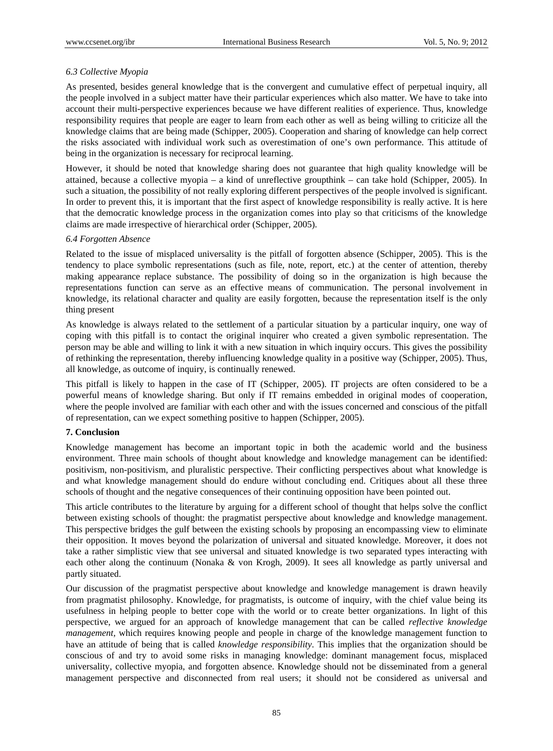## *6.3 Collective Myopia*

As presented, besides general knowledge that is the convergent and cumulative effect of perpetual inquiry, all the people involved in a subject matter have their particular experiences which also matter. We have to take into account their multi-perspective experiences because we have different realities of experience. Thus, knowledge responsibility requires that people are eager to learn from each other as well as being willing to criticize all the knowledge claims that are being made (Schipper, 2005). Cooperation and sharing of knowledge can help correct the risks associated with individual work such as overestimation of one's own performance. This attitude of being in the organization is necessary for reciprocal learning.

However, it should be noted that knowledge sharing does not guarantee that high quality knowledge will be attained, because a collective myopia – a kind of unreflective groupthink – can take hold (Schipper, 2005). In such a situation, the possibility of not really exploring different perspectives of the people involved is significant. In order to prevent this, it is important that the first aspect of knowledge responsibility is really active. It is here that the democratic knowledge process in the organization comes into play so that criticisms of the knowledge claims are made irrespective of hierarchical order (Schipper, 2005).

#### *6.4 Forgotten Absence*

Related to the issue of misplaced universality is the pitfall of forgotten absence (Schipper, 2005). This is the tendency to place symbolic representations (such as file, note, report, etc.) at the center of attention, thereby making appearance replace substance. The possibility of doing so in the organization is high because the representations function can serve as an effective means of communication. The personal involvement in knowledge, its relational character and quality are easily forgotten, because the representation itself is the only thing present

As knowledge is always related to the settlement of a particular situation by a particular inquiry, one way of coping with this pitfall is to contact the original inquirer who created a given symbolic representation. The person may be able and willing to link it with a new situation in which inquiry occurs. This gives the possibility of rethinking the representation, thereby influencing knowledge quality in a positive way (Schipper, 2005). Thus, all knowledge, as outcome of inquiry, is continually renewed.

This pitfall is likely to happen in the case of IT (Schipper, 2005). IT projects are often considered to be a powerful means of knowledge sharing. But only if IT remains embedded in original modes of cooperation, where the people involved are familiar with each other and with the issues concerned and conscious of the pitfall of representation, can we expect something positive to happen (Schipper, 2005).

#### **7. Conclusion**

Knowledge management has become an important topic in both the academic world and the business environment. Three main schools of thought about knowledge and knowledge management can be identified: positivism, non-positivism, and pluralistic perspective. Their conflicting perspectives about what knowledge is and what knowledge management should do endure without concluding end. Critiques about all these three schools of thought and the negative consequences of their continuing opposition have been pointed out.

This article contributes to the literature by arguing for a different school of thought that helps solve the conflict between existing schools of thought: the pragmatist perspective about knowledge and knowledge management. This perspective bridges the gulf between the existing schools by proposing an encompassing view to eliminate their opposition. It moves beyond the polarization of universal and situated knowledge. Moreover, it does not take a rather simplistic view that see universal and situated knowledge is two separated types interacting with each other along the continuum (Nonaka & von Krogh, 2009). It sees all knowledge as partly universal and partly situated.

Our discussion of the pragmatist perspective about knowledge and knowledge management is drawn heavily from pragmatist philosophy. Knowledge, for pragmatists, is outcome of inquiry, with the chief value being its usefulness in helping people to better cope with the world or to create better organizations. In light of this perspective, we argued for an approach of knowledge management that can be called *reflective knowledge management*, which requires knowing people and people in charge of the knowledge management function to have an attitude of being that is called *knowledge responsibility*. This implies that the organization should be conscious of and try to avoid some risks in managing knowledge: dominant management focus, misplaced universality, collective myopia, and forgotten absence. Knowledge should not be disseminated from a general management perspective and disconnected from real users; it should not be considered as universal and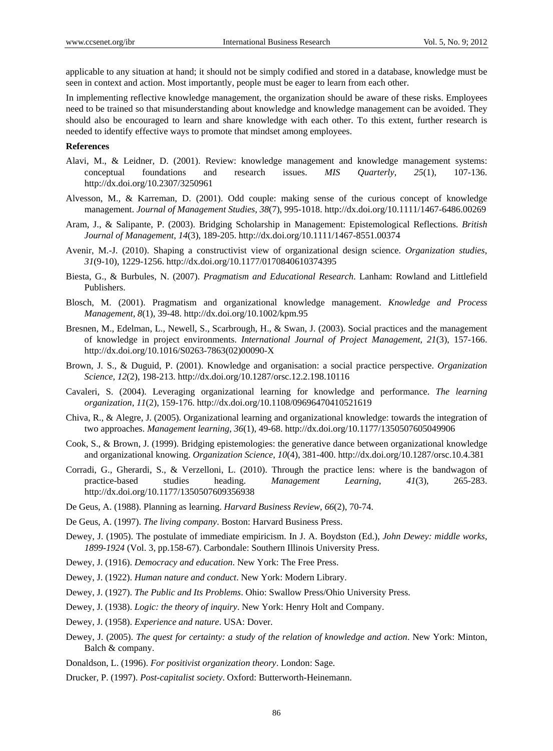applicable to any situation at hand; it should not be simply codified and stored in a database, knowledge must be seen in context and action. Most importantly, people must be eager to learn from each other.

In implementing reflective knowledge management, the organization should be aware of these risks. Employees need to be trained so that misunderstanding about knowledge and knowledge management can be avoided. They should also be encouraged to learn and share knowledge with each other. To this extent, further research is needed to identify effective ways to promote that mindset among employees.

## **References**

- Alavi, M., & Leidner, D. (2001). Review: knowledge management and knowledge management systems: conceptual foundations and research issues. *MIS Quarterly*, *25*(1), 107-136. http://dx.doi.org/10.2307/3250961
- Alvesson, M., & Karreman, D. (2001). Odd couple: making sense of the curious concept of knowledge management. *Journal of Management Studies*, *38*(7), 995-1018. http://dx.doi.org/10.1111/1467-6486.00269
- Aram, J., & Salipante, P. (2003). Bridging Scholarship in Management: Epistemological Reflections. *British Journal of Management*, *14*(3), 189-205. http://dx.doi.org/10.1111/1467-8551.00374
- Avenir, M.-J. (2010). Shaping a constructivist view of organizational design science. *Organization studies*, *31*(9-10), 1229-1256. http://dx.doi.org/10.1177/0170840610374395
- Biesta, G., & Burbules, N. (2007). *Pragmatism and Educational Research*. Lanham: Rowland and Littlefield Publishers.
- Blosch, M. (2001). Pragmatism and organizational knowledge management. *Knowledge and Process Management, 8*(1), 39-48. http://dx.doi.org/10.1002/kpm.95
- Bresnen, M., Edelman, L., Newell, S., Scarbrough, H., & Swan, J. (2003). Social practices and the management of knowledge in project environments. *International Journal of Project Management*, *21*(3), 157-166. http://dx.doi.org/10.1016/S0263-7863(02)00090-X
- Brown, J. S., & Duguid, P. (2001). Knowledge and organisation: a social practice perspective. *Organization Science*, *12*(2), 198-213. http://dx.doi.org/10.1287/orsc.12.2.198.10116
- Cavaleri, S. (2004). Leveraging organizational learning for knowledge and performance. *The learning organization*, *11*(2), 159-176. http://dx.doi.org/10.1108/09696470410521619
- Chiva, R., & Alegre, J. (2005). Organizational learning and organizational knowledge: towards the integration of two approaches. *Management learning*, *36*(1), 49-68. http://dx.doi.org/10.1177/1350507605049906
- Cook, S., & Brown, J. (1999). Bridging epistemologies: the generative dance between organizational knowledge and organizational knowing. *Organization Science*, *10*(4), 381-400. http://dx.doi.org/10.1287/orsc.10.4.381
- Corradi, G., Gherardi, S., & Verzelloni, L. (2010). Through the practice lens: where is the bandwagon of practice-based studies heading. *Management Learning*, *41*(3), 265-283. http://dx.doi.org/10.1177/1350507609356938
- De Geus, A. (1988). Planning as learning. *Harvard Business Review*, *66*(2), 70-74.
- De Geus, A. (1997). *The living company*. Boston: Harvard Business Press.
- Dewey, J. (1905). The postulate of immediate empiricism. In J. A. Boydston (Ed.), *John Dewey: middle works*, *1899-1924* (Vol. 3, pp.158-67). Carbondale: Southern Illinois University Press.
- Dewey, J. (1916). *Democracy and education*. New York: The Free Press.
- Dewey, J. (1922). *Human nature and conduct*. New York: Modern Library.
- Dewey, J. (1927). *The Public and Its Problems*. Ohio: Swallow Press/Ohio University Press.
- Dewey, J. (1938). *Logic: the theory of inquiry*. New York: Henry Holt and Company.
- Dewey, J. (1958). *Experience and nature*. USA: Dover.
- Dewey, J. (2005). *The quest for certainty: a study of the relation of knowledge and action*. New York: Minton, Balch & company.
- Donaldson, L. (1996). *For positivist organization theory*. London: Sage.
- Drucker, P. (1997). *Post-capitalist society*. Oxford: Butterworth-Heinemann.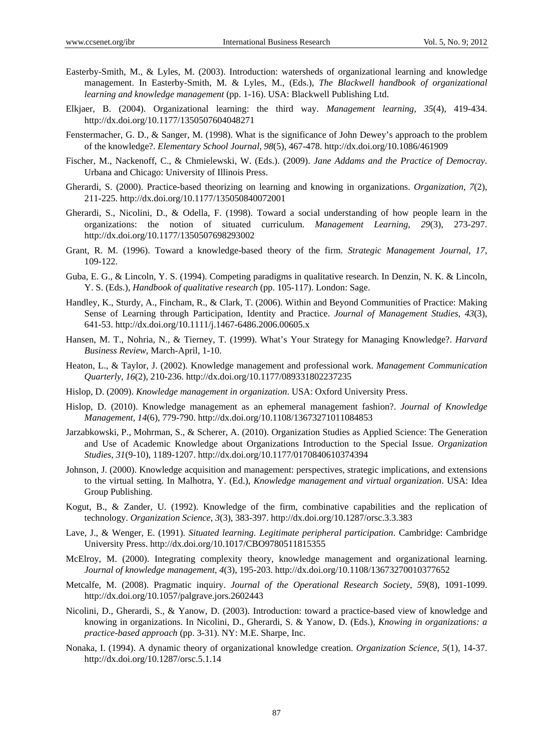- Easterby-Smith, M., & Lyles, M. (2003). Introduction: watersheds of organizational learning and knowledge management. In Easterby-Smith, M. & Lyles, M., (Eds.), *The Blackwell handbook of organizational learning and knowledge management* (pp. 1-16). USA: Blackwell Publishing Ltd.
- Elkjaer, B. (2004). Organizational learning: the third way. *Management learning*, *35*(4), 419-434. http://dx.doi.org/10.1177/1350507604048271
- Fenstermacher, G. D., & Sanger, M. (1998). What is the significance of John Dewey's approach to the problem of the knowledge?. *Elementary School Journal*, *98*(5), 467-478. http://dx.doi.org/10.1086/461909
- Fischer, M., Nackenoff, C., & Chmielewski, W. (Eds.). (2009). *Jane Addams and the Practice of Democray*. Urbana and Chicago: University of Illinois Press.
- Gherardi, S. (2000). Practice-based theorizing on learning and knowing in organizations. *Organization*, *7*(2), 211-225. http://dx.doi.org/10.1177/135050840072001
- Gherardi, S., Nicolini, D., & Odella, F. (1998). Toward a social understanding of how people learn in the organizations: the notion of situated curriculum. *Management Learning*, *29*(3), 273-297. http://dx.doi.org/10.1177/1350507698293002
- Grant, R. M. (1996). Toward a knowledge-based theory of the firm. *Strategic Management Journal, 17*, 109-122.
- Guba, E. G., & Lincoln, Y. S. (1994). Competing paradigms in qualitative research. In Denzin, N. K. & Lincoln, Y. S. (Eds.), *Handbook of qualitative research* (pp. 105-117). London: Sage.
- Handley, K., Sturdy, A., Fincham, R., & Clark, T. (2006). Within and Beyond Communities of Practice: Making Sense of Learning through Participation, Identity and Practice. *Journal of Management Studies, 43*(3), 641-53. http://dx.doi.org/10.1111/j.1467-6486.2006.00605.x
- Hansen, M. T., Nohria, N., & Tierney, T. (1999). What's Your Strategy for Managing Knowledge?. *Harvard Business Review*, March-April, 1-10.
- Heaton, L., & Taylor, J. (2002). Knowledge management and professional work. *Management Communication Quarterly*, *16*(2), 210-236. http://dx.doi.org/10.1177/089331802237235
- Hislop, D. (2009). *Knowledge management in organization*. USA: Oxford University Press.
- Hislop, D. (2010). Knowledge management as an ephemeral management fashion?. *Journal of Knowledge Management, 14*(6), 779-790. http://dx.doi.org/10.1108/13673271011084853
- Jarzabkowski, P., Mohrman, S., & Scherer, A. (2010). Organization Studies as Applied Science: The Generation and Use of Academic Knowledge about Organizations Introduction to the Special Issue. *Organization Studies*, *31*(9-10), 1189-1207. http://dx.doi.org/10.1177/0170840610374394
- Johnson, J. (2000). Knowledge acquisition and management: perspectives, strategic implications, and extensions to the virtual setting. In Malhotra, Y. (Ed.), *Knowledge management and virtual organization*. USA: Idea Group Publishing.
- Kogut, B., & Zander, U. (1992). Knowledge of the firm, combinative capabilities and the replication of technology. *Organization Science*, *3*(3), 383-397. http://dx.doi.org/10.1287/orsc.3.3.383
- Lave, J., & Wenger, E. (1991). *Situated learning. Legitimate peripheral participation*. Cambridge: Cambridge University Press. http://dx.doi.org/10.1017/CBO9780511815355
- McElroy, M. (2000). Integrating complexity theory, knowledge management and organizational learning. *Journal of knowledge management*, *4*(3), 195-203. http://dx.doi.org/10.1108/13673270010377652
- Metcalfe, M. (2008). Pragmatic inquiry. *Journal of the Operational Research Society*, *59*(8), 1091-1099. http://dx.doi.org/10.1057/palgrave.jors.2602443
- Nicolini, D., Gherardi, S., & Yanow, D. (2003). Introduction: toward a practice-based view of knowledge and knowing in organizations. In Nicolini, D., Gherardi, S. & Yanow, D. (Eds.), *Knowing in organizations: a practice-based approach* (pp. 3-31). NY: M.E. Sharpe, Inc.
- Nonaka, I. (1994). A dynamic theory of organizational knowledge creation. *Organization Science*, *5*(1), 14-37. http://dx.doi.org/10.1287/orsc.5.1.14